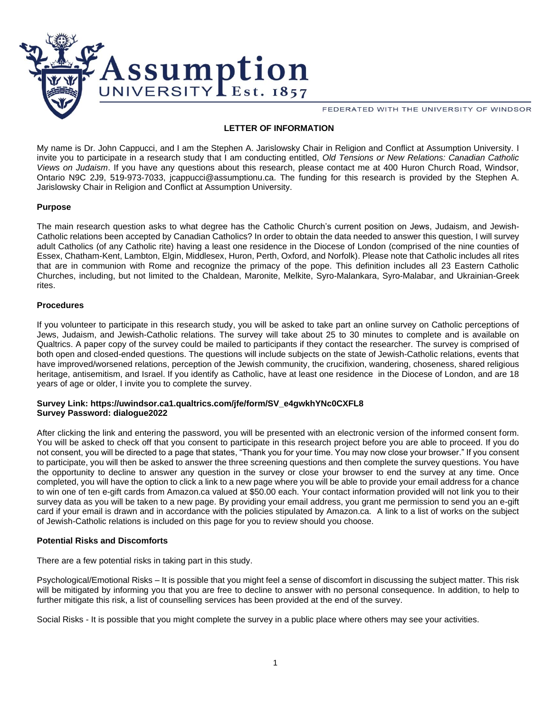

FEDERATED WITH THE UNIVERSITY OF WINDSOR

# **LETTER OF INFORMATION**

My name is Dr. John Cappucci, and I am the Stephen A. Jarislowsky Chair in Religion and Conflict at Assumption University. I invite you to participate in a research study that I am conducting entitled, *Old Tensions or New Relations: Canadian Catholic Views on Judaism*. If you have any questions about this research, please contact me at 400 Huron Church Road, Windsor, Ontario N9C 2J9, 519-973-7033, jcappucci@assumptionu.ca. The funding for this research is provided by the Stephen A. Jarislowsky Chair in Religion and Conflict at Assumption University.

### **Purpose**

The main research question asks to what degree has the Catholic Church's current position on Jews, Judaism, and Jewish-Catholic relations been accepted by Canadian Catholics? In order to obtain the data needed to answer this question, I will survey adult Catholics (of any Catholic rite) having a least one residence in the Diocese of London (comprised of the nine counties of Essex, Chatham-Kent, Lambton, Elgin, Middlesex, Huron, Perth, Oxford, and Norfolk). Please note that Catholic includes all rites that are in communion with Rome and recognize the primacy of the pope. This definition includes all 23 Eastern Catholic Churches, including, but not limited to the Chaldean, Maronite, Melkite, Syro-Malankara, Syro-Malabar, and Ukrainian-Greek rites.

### **Procedures**

If you volunteer to participate in this research study, you will be asked to take part an online survey on Catholic perceptions of Jews, Judaism, and Jewish-Catholic relations. The survey will take about 25 to 30 minutes to complete and is available on Qualtrics. A paper copy of the survey could be mailed to participants if they contact the researcher. The survey is comprised of both open and closed-ended questions. The questions will include subjects on the state of Jewish-Catholic relations, events that have improved/worsened relations, perception of the Jewish community, the crucifixion, wandering, choseness, shared religious heritage, antisemitism, and Israel. If you identify as Catholic, have at least one residence in the Diocese of London, and are 18 years of age or older, I invite you to complete the survey.

### **Survey Link: https://uwindsor.ca1.qualtrics.com/jfe/form/SV\_e4gwkhYNc0CXFL8 Survey Password: dialogue2022**

After clicking the link and entering the password, you will be presented with an electronic version of the informed consent form. You will be asked to check off that you consent to participate in this research project before you are able to proceed. If you do not consent, you will be directed to a page that states, "Thank you for your time. You may now close your browser." If you consent to participate, you will then be asked to answer the three screening questions and then complete the survey questions. You have the opportunity to decline to answer any question in the survey or close your browser to end the survey at any time. Once completed, you will have the option to click a link to a new page where you will be able to provide your email address for a chance to win one of ten e-gift cards from Amazon.ca valued at \$50.00 each. Your contact information provided will not link you to their survey data as you will be taken to a new page. By providing your email address, you grant me permission to send you an e-gift card if your email is drawn and in accordance with the policies stipulated by Amazon.ca. A link to a list of works on the subject of Jewish-Catholic relations is included on this page for you to review should you choose.

## **Potential Risks and Discomforts**

There are a few potential risks in taking part in this study.

Psychological/Emotional Risks – It is possible that you might feel a sense of discomfort in discussing the subject matter. This risk will be mitigated by informing you that you are free to decline to answer with no personal consequence. In addition, to help to further mitigate this risk, a list of counselling services has been provided at the end of the survey.

Social Risks - It is possible that you might complete the survey in a public place where others may see your activities.